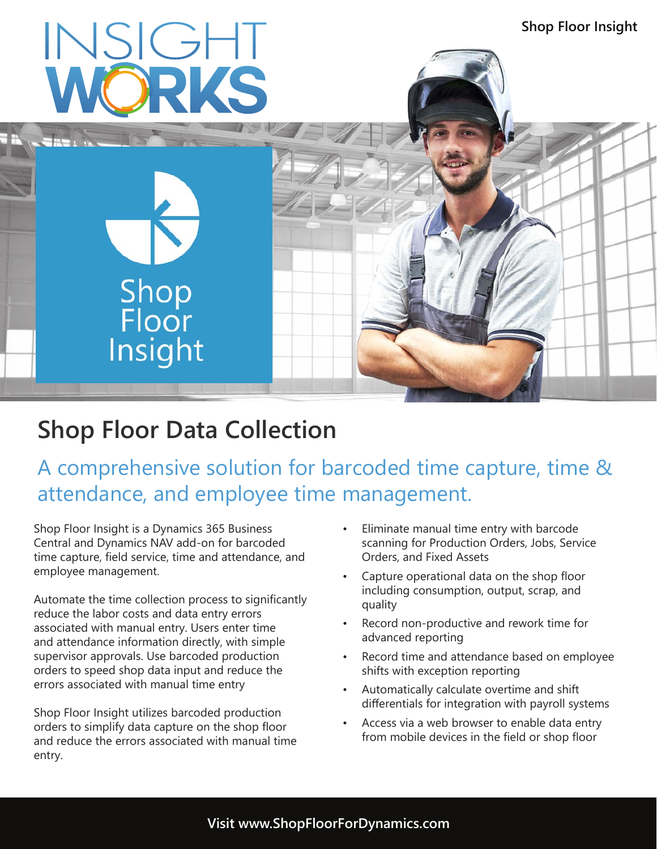

# **Shop Floor Data Collection**

A comprehensive solution for barcoded time capture, time & attendance, and employee time management.

Shop Floor Insight is a Dynamics 365 Business Central and Dynamics NAV add-on for barcoded time capture, field service, time and attendance, and employee management.

Automate the time collection process to significantly reduce the labor costs and data entry errors associated with manual entry. Users enter time and attendance information directly, with simple supervisor approvals. Use barcoded production orders to speed shop data input and reduce the errors associated with manual time entry

Shop Floor Insight utilizes barcoded production orders to simplify data capture on the shop floor and reduce the errors associated with manual time entry.

- Eliminate manual time entry with barcode scanning for Production Orders, Jobs, Service Orders, and Fixed Assets
- Capture operational data on the shop floor including consumption, output, scrap, and quality
- Record non-productive and rework time for advanced reporting
- Record time and attendance based on employee shifts with exception reporting
- Automatically calculate overtime and shift differentials for integration with payroll systems
- Access via a web browser to enable data entry from mobile devices in the field or shop floor